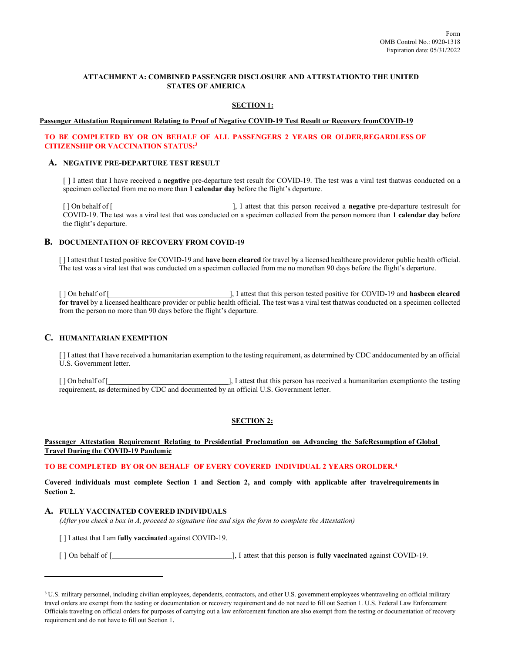# **ATTACHMENT A: COMBINED PASSENGER DISCLOSURE AND ATTESTATIONTO THE UNITED STATES OF AMERICA**

## **SECTION 1:**

#### **Passenger Attestation Requirement Relating to Proof of Negative COVID-19 Test Result or Recovery fromCOVID-19**

### **TO BE COMPLETED BY OR ON BEHALF OF ALL PASSENGERS 2 YEARS OR OLDER,REGARDLESS OF CITIZENSHIP OR VACCINATION STATUS[:3](#page-0-0)**

# **A. NEGATIVE PRE-DEPARTURE TEST RESULT**

[ ] I attest that I have received a **negative** pre-departure test result for COVID-19. The test was a viral test thatwas conducted on a specimen collected from me no more than **1 calendar day** before the flight's departure.

[ ] On behalf of [ ], I attest that this person received a **negative** pre-departure testresult for COVID-19. The test was a viral test that was conducted on a specimen collected from the person nomore than **1 calendar day** before the flight's departure.

#### **B. DOCUMENTATION OF RECOVERY FROM COVID-19**

[ ] I attest that I tested positive for COVID-19 and **have been cleared** for travel by a licensed healthcare provideror public health official. The test was a viral test that was conducted on a specimen collected from me no morethan 90 days before the flight's departure.

[ ] On behalf of [ ], I attest that this person tested positive for COVID-19 and **hasbeen cleared for travel** by a licensed healthcare provider or public health official. The test was a viral test thatwas conducted on a specimen collected from the person no more than 90 days before the flight's departure.

## **C. HUMANITARIAN EXEMPTION**

[ ] I attest that I have received a humanitarian exemption to the testing requirement, as determined by CDC anddocumented by an official U.S. Government letter.

[ ] On behalf of [ ], I attest that this person has received a humanitarian exemptionto the testing requirement, as determined by CDC and documented by an official U.S. Government letter.

### **SECTION 2:**

### **Passenger Attestation Requirement Relating to Presidential Proclamation on Advancing the SafeResumption of Global Travel During the COVID-19 Pandemic**

#### **TO BE COMPLETED BY OR ON BEHALF OF EVERY COVERED INDIVIDUAL 2 YEARS OROLDER[.4](#page-1-0)**

Covered individuals must complete Section 1 and Section 2, and comply with applicable after travelrequirements in **Section 2.**

#### **A. FULLY VACCINATED COVERED INDIVIDUALS**

*(After you check a box in A, proceed to signature line and sign the form to complete the Attestation)*

[ ] I attest that I am **fully vaccinated** against COVID-19.

[ ] On behalf of [ ], I attest that this person is **fully vaccinated** against COVID-19.

<span id="page-0-0"></span><sup>&</sup>lt;sup>3</sup> U.S. military personnel, including civilian employees, dependents, contractors, and other U.S. government employees whentraveling on official military travel orders are exempt from the testing or documentation or recovery requirement and do not need to fill out Section 1. U.S. Federal Law Enforcement Officials traveling on official orders for purposes of carrying out a law enforcement function are also exempt from the testing or documentation of recovery requirement and do not have to fill out Section 1.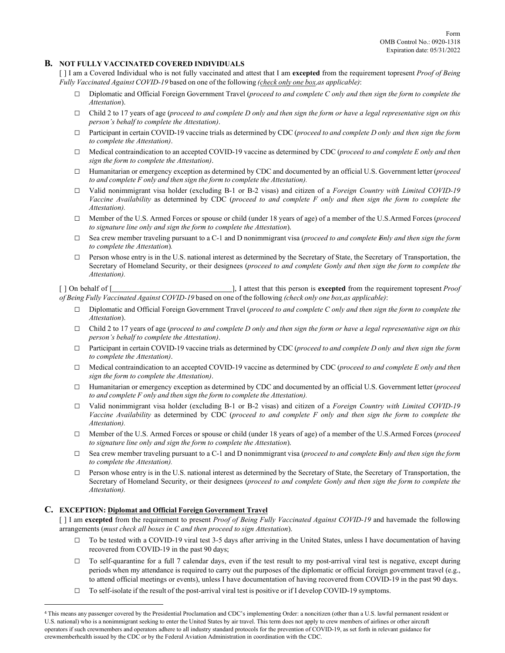## **B. NOT FULLY VACCINATED COVERED INDIVIDUALS**

[ ] I am a Covered Individual who is not fully vaccinated and attest that I am **excepted** from the requirement topresent *Proof of Being Fully Vaccinated Against COVID-19* based on one of the following *(check only one box,as applicable)*:

- □ Diplomatic and Official Foreign Government Travel (*proceed to and complete C only and then sign the form to complete the Attestation*).
- □ Child 2 to 17 years of age (*proceed to and complete D only and then sign the form or have a legal representative sign on this person's behalf to complete the Attestation)*.
- □ Participant in certain COVID-19 vaccine trials as determined by CDC (*proceed to and complete D only and then sign the form to complete the Attestation)*.
- □ Medical contraindication to an accepted COVID-19 vaccine as determined by CDC (*proceed to and complete E only and then sign the form to complete the Attestation)*.
- □ Humanitarian or emergency exception as determined by CDC and documented by an official U.S. Government letter (*proceed to and complete F only and then sign the form to complete the Attestation).*
- □ Valid nonimmigrant visa holder (excluding B-1 or B-2 visas) and citizen of a *Foreign Country with Limited COVID-19 Vaccine Availability* as determined by CDC (*proceed to and complete F only and then sign the form to complete the Attestation).*
- □ Member of the U.S. Armed Forces or spouse or child (under 18 years of age) of a member of the U.S.Armed Forces (*proceed to signature line only and sign the form to complete the Attestation*).
- □ Sea crew member traveling pursuant to a C-1 and D nonimmigrant visa (*proceed to and complete Fonly and then sign the form to complete the Attestation*)*.*
- $\square$  Person whose entry is in the U.S. national interest as determined by the Secretary of State, the Secretary of Transportation, the Secretary of Homeland Security, or their designees (*proceed to and complete Gonly and then sign the form to complete the Attestation).*

[ ] On behalf of [ ], I attest that this person is **excepted** from the requirement topresent *Proof of Being Fully Vaccinated Against COVID-19* based on one of the following *(check only one box,as applicable)*:

- □ Diplomatic and Official Foreign Government Travel (*proceed to and complete C only and then sign the form to complete the Attestation*).
- □ Child 2 to 17 years of age (*proceed to and complete D only and then sign the form or have a legal representative sign on this person's behalf to complete the Attestation)*.
- □ Participant in certain COVID-19 vaccine trials as determined by CDC (*proceed to and complete D only and then sign the form to complete the Attestation)*.
- □ Medical contraindication to an accepted COVID-19 vaccine as determined by CDC (*proceed to and complete E only and then sign the form to complete the Attestation)*.
- □ Humanitarian or emergency exception as determined by CDC and documented by an official U.S. Government letter (*proceed to and complete F only and then sign the form to complete the Attestation).*
- □ Valid nonimmigrant visa holder (excluding B-1 or B-2 visas) and citizen of a *Foreign Country with Limited COVID-19 Vaccine Availability* as determined by CDC (*proceed to and complete F only and then sign the form to complete the Attestation).*
- □ Member of the U.S. Armed Forces or spouse or child (under 18 years of age) of a member of the U.S.Armed Forces (*proceed to signature line only and sign the form to complete the Attestation*).
- □ Sea crew member traveling pursuant to a C-1 and D nonimmigrant visa (*proceed to and complete Fonly and then sign the form to complete the Attestation).*
- □ Person whose entry is in the U.S. national interest as determined by the Secretary of State, the Secretary of Transportation, the Secretary of Homeland Security, or their designees (*proceed to and complete Gonly and then sign the form to complete the Attestation).*

# **C. EXCEPTION: Diplomat and Official Foreign Government Travel**

[ ] I am **excepted** from the requirement to present *Proof of Being Fully Vaccinated Against COVID-19* and havemade the following arrangements (*must check all boxes in C and then proceed to sign Attestation*).

- $\Box$  To be tested with a COVID-19 viral test 3-5 days after arriving in the United States, unless I have documentation of having recovered from COVID-19 in the past 90 days;
- $\Box$  To self-quarantine for a full 7 calendar days, even if the test result to my post-arrival viral test is negative, except during periods when my attendance is required to carry out the purposes of the diplomatic or official foreign government travel (e.g., to attend official meetings or events), unless I have documentation of having recovered from COVID-19 in the past 90 days.
- $\Box$  To self-isolate if the result of the post-arrival viral test is positive or if I develop COVID-19 symptoms.

<span id="page-1-0"></span><sup>4</sup> This means any passenger covered by the Presidential Proclamation and CDC's implementing Order: a noncitizen (other than a U.S. lawful permanent resident or U.S. national) who is a nonimmigrant seeking to enter the United States by air travel. This term does not apply to crew members of airlines or other aircraft operators if such crewmembers and operators adhere to all industry standard protocols for the prevention of COVID-19, as set forth in relevant guidance for crewmemberhealth issued by the CDC or by the Federal Aviation Administration in coordination with the CDC.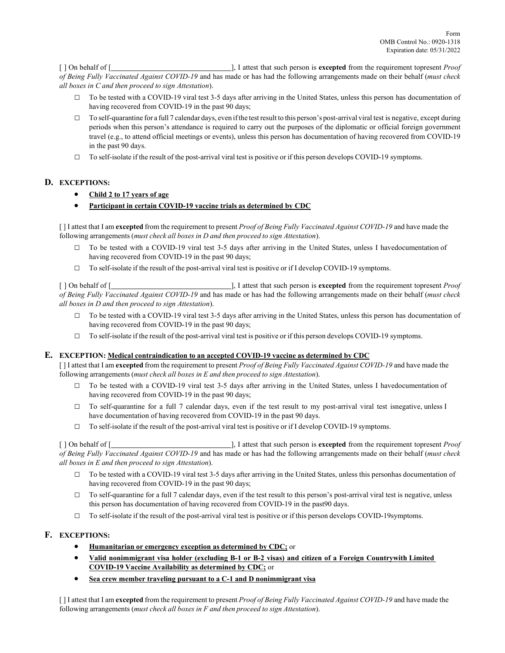[ ] On behalf of [ ], I attest that such person is **excepted** from the requirement topresent *Proof of Being Fully Vaccinated Against COVID-19* and has made or has had the following arrangements made on their behalf (*must check all boxes in C and then proceed to sign Attestation*).

- $\Box$  To be tested with a COVID-19 viral test 3-5 days after arriving in the United States, unless this person has documentation of having recovered from COVID-19 in the past 90 days;
- $\Box$  To self-quarantine for a full 7 calendar days, even if the test result to this person's post-arrival viral test is negative, except during periods when this person's attendance is required to carry out the purposes of the diplomatic or official foreign government travel (e.g., to attend official meetings or events), unless this person has documentation of having recovered from COVID-19 in the past 90 days.
- $\Box$  To self-isolate if the result of the post-arrival viral test is positive or if this person develops COVID-19 symptoms.

# **D. EXCEPTIONS:**

- **Child 2 to 17 years of age**
- **Participant in certain COVID-19 vaccine trials as determined by CDC**

[ ] I attest that I am **excepted** from the requirement to present *Proof of Being Fully Vaccinated Against COVID-19* and have made the following arrangements (*must check all boxes in D and then proceed to sign Attestation*).

- □ To be tested with a COVID-19 viral test 3-5 days after arriving in the United States, unless I havedocumentation of having recovered from COVID-19 in the past 90 days;
- $\Box$  To self-isolate if the result of the post-arrival viral test is positive or if I develop COVID-19 symptoms.

[ ] On behalf of [ ], I attest that such person is **excepted** from the requirement topresent *Proof of Being Fully Vaccinated Against COVID-19* and has made or has had the following arrangements made on their behalf (*must check all boxes in D and then proceed to sign Attestation*).

- $\Box$  To be tested with a COVID-19 viral test 3-5 days after arriving in the United States, unless this person has documentation of having recovered from COVID-19 in the past 90 days;
- $\Box$  To self-isolate if the result of the post-arrival viral test is positive or if this person develops COVID-19 symptoms.

# **E. EXCEPTION: Medical contraindication to an accepted COVID-19 vaccine as determined by CDC**

[ ] I attest that I am **excepted** from the requirement to present *Proof of Being Fully Vaccinated Against COVID-19* and have made the following arrangements (*must check all boxes in E and then proceed to sign Attestation*).

- □ To be tested with a COVID-19 viral test 3-5 days after arriving in the United States, unless I havedocumentation of having recovered from COVID-19 in the past 90 days;
- $\Box$  To self-quarantine for a full 7 calendar days, even if the test result to my post-arrival viral test isnegative, unless I have documentation of having recovered from COVID-19 in the past 90 days.
- $\Box$  To self-isolate if the result of the post-arrival viral test is positive or if I develop COVID-19 symptoms.

[ ] On behalf of [ ], I attest that such person is **excepted** from the requirement topresent *Proof of Being Fully Vaccinated Against COVID-19* and has made or has had the following arrangements made on their behalf (*must check all boxes in E and then proceed to sign Attestation*).

- $\Box$  To be tested with a COVID-19 viral test 3-5 days after arriving in the United States, unless this personhas documentation of having recovered from COVID-19 in the past 90 days;
- $\Box$  To self-quarantine for a full 7 calendar days, even if the test result to this person's post-arrival viral test is negative, unless this person has documentation of having recovered from COVID-19 in the past90 days.
- $\Box$  To self-isolate if the result of the post-arrival viral test is positive or if this person develops COVID-19symptoms.

# **F. EXCEPTIONS:**

- **Humanitarian or emergency exception as determined by CDC;** or
- **Valid nonimmigrant visa holder (excluding B-1 or B-2 visas) and citizen of a Foreign Countrywith Limited COVID-19 Vaccine Availability as determined by CDC;** or
- **Sea crew member traveling pursuant to a C-1 and D nonimmigrant visa**

[ ] I attest that I am **excepted** from the requirement to present *Proof of Being Fully Vaccinated Against COVID-19* and have made the following arrangements (*must check all boxes in F and then proceed to sign Attestation*).